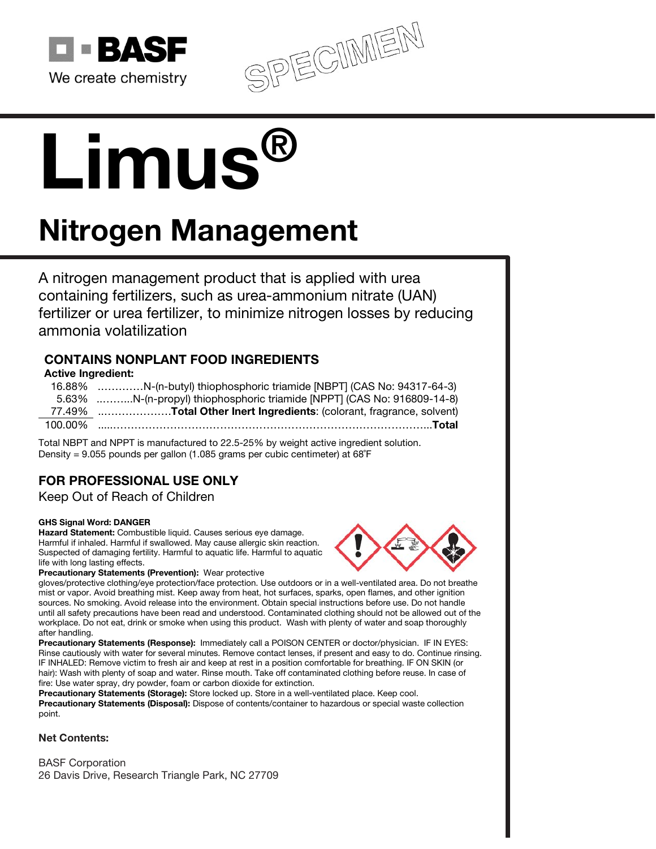

SPECIMEN

# Limus®

# Nitrogen Management

A nitrogen management product that is applied with urea containing fertilizers, such as urea-ammonium nitrate (UAN) fertilizer or urea fertilizer, to minimize nitrogen losses by reducing ammonia volatilization

# CONTAINS NONPLANT FOOD INGREDIENTS

# Active Ingredient:

16.88% .…………N-(n-butyl) thiophosphoric triamide [NBPT] (CAS No: 94317-64-3) 5.63% ..……...N-(n-propyl) thiophosphoric triamide [NPPT] (CAS No: 916809-14-8) 77.49% ..……………….Total Other Inert Ingredients: (colorant, fragrance, solvent) 100.00% .....……………………………………………………………………………...Total

Total NBPT and NPPT is manufactured to 22.5-25% by weight active ingredient solution. Density = 9.055 pounds per gallon (1.085 grams per cubic centimeter) at 68˚F

# FOR PROFESSIONAL USE ONLY

Keep Out of Reach of Children

# GHS Signal Word: DANGER

Hazard Statement: Combustible liquid. Causes serious eye damage. Harmful if inhaled. Harmful if swallowed. May cause allergic skin reaction. Suspected of damaging fertility. Harmful to aquatic life. Harmful to aquatic life with long lasting effects.



Precautionary Statements (Prevention): Wear protective

gloves/protective clothing/eye protection/face protection. Use outdoors or in a well-ventilated area. Do not breathe mist or vapor. Avoid breathing mist. Keep away from heat, hot surfaces, sparks, open flames, and other ignition sources. No smoking. Avoid release into the environment. Obtain special instructions before use. Do not handle until all safety precautions have been read and understood. Contaminated clothing should not be allowed out of the workplace. Do not eat, drink or smoke when using this product. Wash with plenty of water and soap thoroughly after handling.

Precautionary Statements (Response): Immediately call a POISON CENTER or doctor/physician. IF IN EYES: Rinse cautiously with water for several minutes. Remove contact lenses, if present and easy to do. Continue rinsing. IF INHALED: Remove victim to fresh air and keep at rest in a position comfortable for breathing. IF ON SKIN (or hair): Wash with plenty of soap and water. Rinse mouth. Take off contaminated clothing before reuse. In case of fire: Use water spray, dry powder, foam or carbon dioxide for extinction.

Precautionary Statements (Storage): Store locked up. Store in a well-ventilated place. Keep cool. Precautionary Statements (Disposal): Dispose of contents/container to hazardous or special waste collection point.

# Net Contents:

BASF Corporation 26 Davis Drive, Research Triangle Park, NC 27709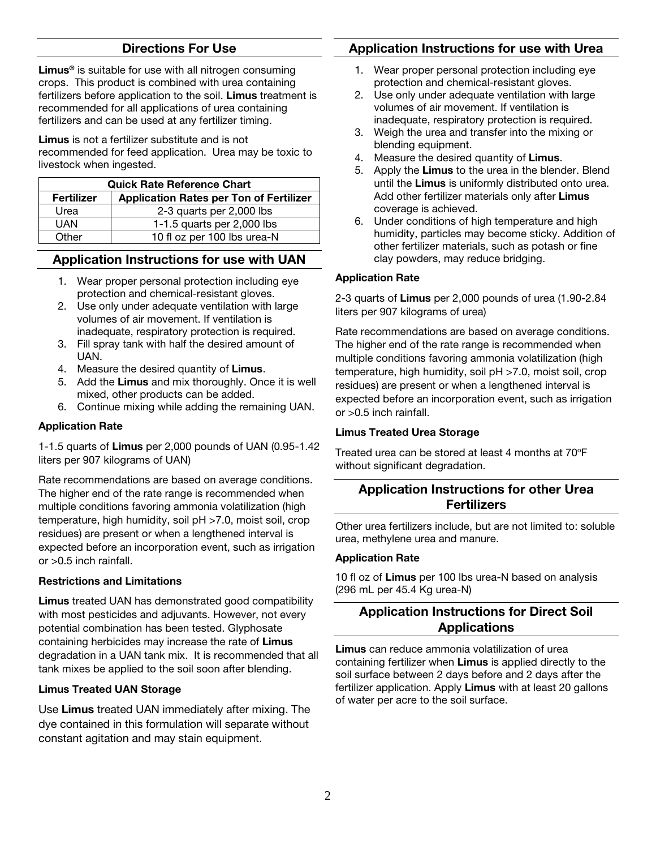# Directions For Use

Limus<sup>®</sup> is suitable for use with all nitrogen consuming crops. This product is combined with urea containing fertilizers before application to the soil. Limus treatment is recommended for all applications of urea containing fertilizers and can be used at any fertilizer timing.

Limus is not a fertilizer substitute and is not recommended for feed application. Urea may be toxic to livestock when ingested.

| <b>Quick Rate Reference Chart</b> |                                                |
|-----------------------------------|------------------------------------------------|
| Fertilizer                        | <b>Application Rates per Ton of Fertilizer</b> |
| Urea                              | 2-3 quarts per 2,000 lbs                       |
| <b>UAN</b>                        | 1-1.5 quarts per $2,000$ lbs                   |
| Other                             | 10 fl oz per 100 lbs urea-N                    |

# Application Instructions for use with UAN

- 1. Wear proper personal protection including eye protection and chemical-resistant gloves.
- 2. Use only under adequate ventilation with large volumes of air movement. If ventilation is inadequate, respiratory protection is required.
- 3. Fill spray tank with half the desired amount of UAN.
- 4. Measure the desired quantity of **Limus**.
- 5. Add the Limus and mix thoroughly. Once it is well mixed, other products can be added.
- 6. Continue mixing while adding the remaining UAN.

# Application Rate

1-1.5 quarts of Limus per 2,000 pounds of UAN (0.95-1.42 liters per 907 kilograms of UAN)

Rate recommendations are based on average conditions. The higher end of the rate range is recommended when multiple conditions favoring ammonia volatilization (high temperature, high humidity, soil pH >7.0, moist soil, crop residues) are present or when a lengthened interval is expected before an incorporation event, such as irrigation or >0.5 inch rainfall.

# Restrictions and Limitations

Limus treated UAN has demonstrated good compatibility with most pesticides and adjuvants. However, not every potential combination has been tested. Glyphosate containing herbicides may increase the rate of Limus degradation in a UAN tank mix. It is recommended that all tank mixes be applied to the soil soon after blending.

# Limus Treated UAN Storage

Use Limus treated UAN immediately after mixing. The dye contained in this formulation will separate without constant agitation and may stain equipment.

# Application Instructions for use with Urea

- 1. Wear proper personal protection including eye protection and chemical-resistant gloves.
- 2. Use only under adequate ventilation with large volumes of air movement. If ventilation is inadequate, respiratory protection is required.
- 3. Weigh the urea and transfer into the mixing or blending equipment.
- 4. Measure the desired quantity of Limus.
- 5. Apply the Limus to the urea in the blender. Blend until the Limus is uniformly distributed onto urea. Add other fertilizer materials only after Limus coverage is achieved.
- 6. Under conditions of high temperature and high humidity, particles may become sticky. Addition of other fertilizer materials, such as potash or fine clay powders, may reduce bridging.

# Application Rate

2-3 quarts of Limus per 2,000 pounds of urea (1.90-2.84 liters per 907 kilograms of urea)

Rate recommendations are based on average conditions. The higher end of the rate range is recommended when multiple conditions favoring ammonia volatilization (high temperature, high humidity, soil pH >7.0, moist soil, crop residues) are present or when a lengthened interval is expected before an incorporation event, such as irrigation or >0.5 inch rainfall.

# Limus Treated Urea Storage

Treated urea can be stored at least 4 months at 70°F without significant degradation.

# Application Instructions for other Urea **Fertilizers**

Other urea fertilizers include, but are not limited to: soluble urea, methylene urea and manure.

# Application Rate

10 fl oz of Limus per 100 lbs urea-N based on analysis (296 mL per 45.4 Kg urea-N)

# Application Instructions for Direct Soil Applications

Limus can reduce ammonia volatilization of urea containing fertilizer when Limus is applied directly to the soil surface between 2 days before and 2 days after the fertilizer application. Apply Limus with at least 20 gallons of water per acre to the soil surface.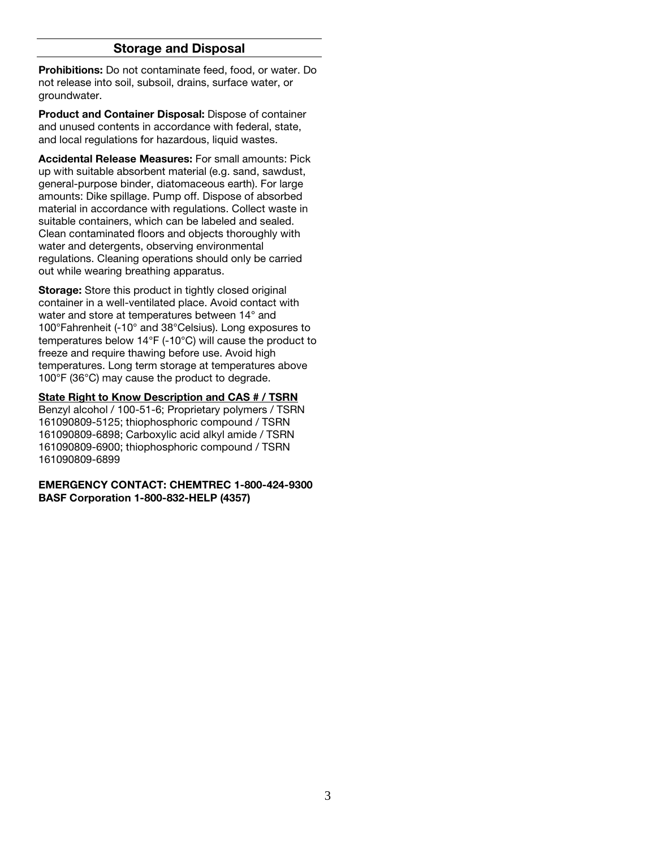# Storage and Disposal

Prohibitions: Do not contaminate feed, food, or water. Do not release into soil, subsoil, drains, surface water, or groundwater.

Product and Container Disposal: Dispose of container and unused contents in accordance with federal, state, and local regulations for hazardous, liquid wastes.

Accidental Release Measures: For small amounts: Pick up with suitable absorbent material (e.g. sand, sawdust, general-purpose binder, diatomaceous earth). For large amounts: Dike spillage. Pump off. Dispose of absorbed material in accordance with regulations. Collect waste in suitable containers, which can be labeled and sealed. Clean contaminated floors and objects thoroughly with water and detergents, observing environmental regulations. Cleaning operations should only be carried out while wearing breathing apparatus.

Storage: Store this product in tightly closed original container in a well-ventilated place. Avoid contact with water and store at temperatures between 14° and 100°Fahrenheit (-10° and 38°Celsius). Long exposures to temperatures below 14°F (-10°C) will cause the product to freeze and require thawing before use. Avoid high temperatures. Long term storage at temperatures above 100°F (36°C) may cause the product to degrade.

State Right to Know Description and CAS # / TSRN

Benzyl alcohol / 100-51-6; Proprietary polymers / TSRN 161090809-5125; thiophosphoric compound / TSRN 161090809-6898; Carboxylic acid alkyl amide / TSRN 161090809-6900; thiophosphoric compound / TSRN 161090809-6899

#### EMERGENCY CONTACT: CHEMTREC 1-800-424-9300 BASF Corporation 1-800-832-HELP (4357)